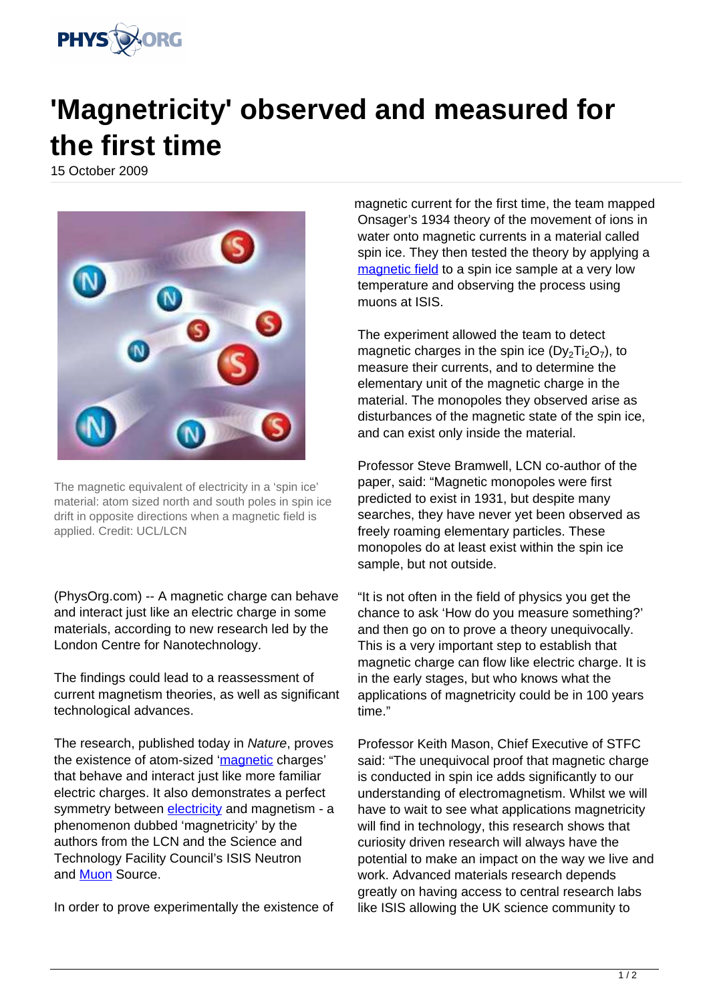

## **'Magnetricity' observed and measured for the first time**

15 October 2009



The magnetic equivalent of electricity in a 'spin ice' material: atom sized north and south poles in spin ice drift in opposite directions when a magnetic field is applied. Credit: UCL/LCN

(PhysOrg.com) -- A magnetic charge can behave and interact just like an electric charge in some materials, according to new research led by the London Centre for Nanotechnology.

The findings could lead to a reassessment of current magnetism theories, as well as significant technological advances.

The research, published today in Nature, proves the existence of atom-sized '[magnetic](https://phys.org/tags/magnetic/) charges' that behave and interact just like more familiar electric charges. It also demonstrates a perfect symmetry between [electricity](https://phys.org/tags/electricity/) and magnetism - a phenomenon dubbed 'magnetricity' by the authors from the LCN and the Science and Technology Facility Council's ISIS Neutron and **[Muon](https://phys.org/tags/muon/)** Source.

In order to prove experimentally the existence of

magnetic current for the first time, the team mapped Onsager's 1934 theory of the movement of ions in water onto magnetic currents in a material called spin ice. They then tested the theory by applying a [magnetic field](https://phys.org/tags/magnetic+field/) to a spin ice sample at a very low temperature and observing the process using muons at ISIS.

The experiment allowed the team to detect magnetic charges in the spin ice  $(Dy_2Ti_2O_7)$ , to measure their currents, and to determine the elementary unit of the magnetic charge in the material. The monopoles they observed arise as disturbances of the magnetic state of the spin ice, and can exist only inside the material.

Professor Steve Bramwell, LCN co-author of the paper, said: "Magnetic monopoles were first predicted to exist in 1931, but despite many searches, they have never yet been observed as freely roaming elementary particles. These monopoles do at least exist within the spin ice sample, but not outside.

"It is not often in the field of physics you get the chance to ask 'How do you measure something?' and then go on to prove a theory unequivocally. This is a very important step to establish that magnetic charge can flow like electric charge. It is in the early stages, but who knows what the applications of magnetricity could be in 100 years time."

Professor Keith Mason, Chief Executive of STFC said: "The unequivocal proof that magnetic charge is conducted in spin ice adds significantly to our understanding of electromagnetism. Whilst we will have to wait to see what applications magnetricity will find in technology, this research shows that curiosity driven research will always have the potential to make an impact on the way we live and work. Advanced materials research depends greatly on having access to central research labs like ISIS allowing the UK science community to